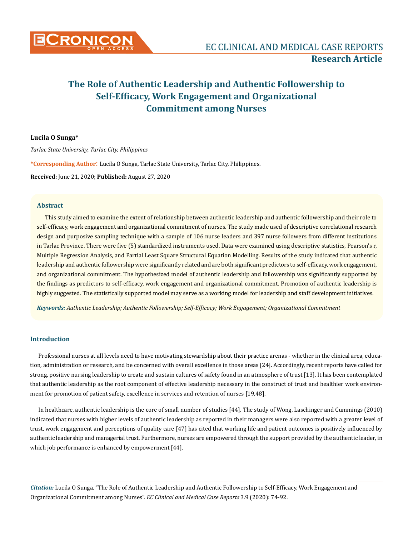

### **Lucila O Sunga\***

*Tarlac State University, Tarlac City, Philippines*

**\*Corresponding Author**: Lucila O Sunga, Tarlac State University, Tarlac City, Philippines.

**Received:** June 21, 2020; **Published:** August 27, 2020

### **Abstract**

This study aimed to examine the extent of relationship between authentic leadership and authentic followership and their role to self-efficacy, work engagement and organizational commitment of nurses. The study made used of descriptive correlational research design and purposive sampling technique with a sample of 106 nurse leaders and 397 nurse followers from different institutions in Tarlac Province. There were five (5) standardized instruments used. Data were examined using descriptive statistics, Pearson's r, Multiple Regression Analysis, and Partial Least Square Structural Equation Modelling. Results of the study indicated that authentic leadership and authentic followership were significantly related and are both significant predictors to self-efficacy, work engagement, and organizational commitment. The hypothesized model of authentic leadership and followership was significantly supported by the findings as predictors to self-efficacy, work engagement and organizational commitment. Promotion of authentic leadership is highly suggested. The statistically supported model may serve as a working model for leadership and staff development initiatives.

*Keywords: Authentic Leadership; Authentic Followership; Self-Efficacy; Work Engagement; Organizational Commitment* 

### **Introduction**

Professional nurses at all levels need to have motivating stewardship about their practice arenas - whether in the clinical area, education, administration or research, and be concerned with overall excellence in those areas [24]. Accordingly, recent reports have called for strong, positive nursing leadership to create and sustain cultures of safety found in an atmosphere of trust [13]. It has been contemplated that authentic leadership as the root component of effective leadership necessary in the construct of trust and healthier work environment for promotion of patient safety, excellence in services and retention of nurses [19,48].

In healthcare, authentic leadership is the core of small number of studies [44]. The study of Wong, Laschinger and Cummings (2010) indicated that nurses with higher levels of authentic leadership as reported in their managers were also reported with a greater level of trust, work engagement and perceptions of quality care [47] has cited that working life and patient outcomes is positively influenced by authentic leadership and managerial trust. Furthermore, nurses are empowered through the support provided by the authentic leader, in which job performance is enhanced by empowerment [44].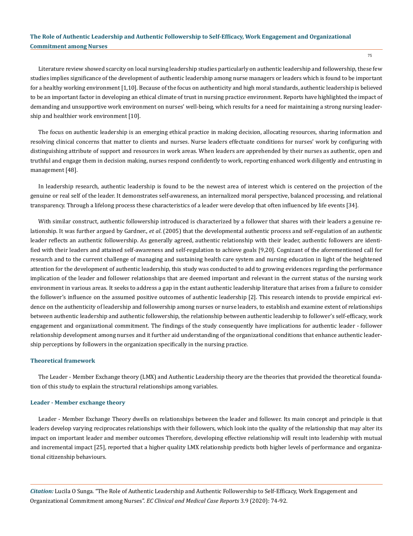75

Literature review showed scarcity on local nursing leadership studies particularly on authentic leadership and followership, these few studies implies significance of the development of authentic leadership among nurse managers or leaders which is found to be important for a healthy working environment [1,10]. Because of the focus on authenticity and high moral standards, authentic leadership is believed to be an important factor in developing an ethical climate of trust in nursing practice environment. Reports have highlighted the impact of demanding and unsupportive work environment on nurses' well-being, which results for a need for maintaining a strong nursing leadership and healthier work environment [10].

The focus on authentic leadership is an emerging ethical practice in making decision, allocating resources, sharing information and resolving clinical concerns that matter to clients and nurses. Nurse leaders effectuate conditions for nurses' work by configuring with distinguishing attribute of support and resources in work areas. When leaders are apprehended by their nurses as authentic, open and truthful and engage them in decision making, nurses respond confidently to work, reporting enhanced work diligently and entrusting in management [48].

In leadership research, authentic leadership is found to be the newest area of interest which is centered on the projection of the genuine or real self of the leader. It demonstrates self-awareness, an internalized moral perspective, balanced processing, and relational transparency. Through a lifelong process these characteristics of a leader were develop that often influenced by life events [34].

With similar construct, authentic followership introduced is characterized by a follower that shares with their leaders a genuine relationship. It was further argued by Gardner., *et al*. (2005) that the developmental authentic process and self-regulation of an authentic leader reflects an authentic followership. As generally agreed, authentic relationship with their leader, authentic followers are identified with their leaders and attained self-awareness and self-regulation to achieve goals [9,20]. Cognizant of the aforementioned call for research and to the current challenge of managing and sustaining health care system and nursing education in light of the heightened attention for the development of authentic leadership, this study was conducted to add to growing evidences regarding the performance implication of the leader and follower relationships that are deemed important and relevant in the current status of the nursing work environment in various areas. It seeks to address a gap in the extant authentic leadership literature that arises from a failure to consider the follower's influence on the assumed positive outcomes of authentic leadership [2]. This research intends to provide empirical evidence on the authenticity of leadership and followership among nurses or nurse leaders, to establish and examine extent of relationships between authentic leadership and authentic followership, the relationship between authentic leadership to follower's self-efficacy, work engagement and organizational commitment. The findings of the study consequently have implications for authentic leader - follower relationship development among nurses and it further aid understanding of the organizational conditions that enhance authentic leadership perceptions by followers in the organization specifically in the nursing practice.

#### **Theoretical framework**

The Leader - Member Exchange theory (LMX) and Authentic Leadership theory are the theories that provided the theoretical foundation of this study to explain the structural relationships among variables.

#### **Leader - Member exchange theory**

Leader - Member Exchange Theory dwells on relationships between the leader and follower. Its main concept and principle is that leaders develop varying reciprocates relationships with their followers, which look into the quality of the relationship that may alter its impact on important leader and member outcomes Therefore, developing effective relationship will result into leadership with mutual and incremental impact [25], reported that a higher quality LMX relationship predicts both higher levels of performance and organizational citizenship behaviours.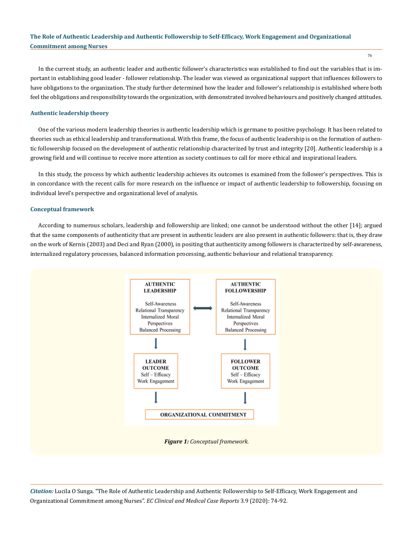In the current study, an authentic leader and authentic follower's characteristics was established to find out the variables that is important in establishing good leader - follower relationship. The leader was viewed as organizational support that influences followers to have obligations to the organization. The study further determined how the leader and follower's relationship is established where both feel the obligations and responsibility towards the organization, with demonstrated involved behaviours and positively changed attitudes.

#### **Authentic leadership theory**

One of the various modern leadership theories is authentic leadership which is germane to positive psychology. It has been related to theories such as ethical leadership and transformational. With this frame, the focus of authentic leadership is on the formation of authentic followership focused on the development of authentic relationship characterized by trust and integrity [20]. Authentic leadership is a growing field and will continue to receive more attention as society continues to call for more ethical and inspirational leaders.

In this study, the process by which authentic leadership achieves its outcomes is examined from the follower's perspectives. This is in concordance with the recent calls for more research on the influence or impact of authentic leadership to followership, focusing on individual level's perspective and organizational level of analysis.

#### **Conceptual framework**

According to numerous scholars, leadership and followership are linked; one cannot be understood without the other [14]; argued that the same components of authenticity that are present in authentic leaders are also present in authentic followers: that is, they draw on the work of Kernis (2003) and Deci and Ryan (2000), in positing that authenticity among followers is characterized by self-awareness, internalized regulatory processes, balanced information processing, authentic behaviour and relational transparency.



*Citation:* Lucila O Sunga. "The Role of Authentic Leadership and Authentic Followership to Self-Efficacy, Work Engagement and Organizational Commitment among Nurses". *EC Clinical and Medical Case Reports* 3.9 (2020): 74-92.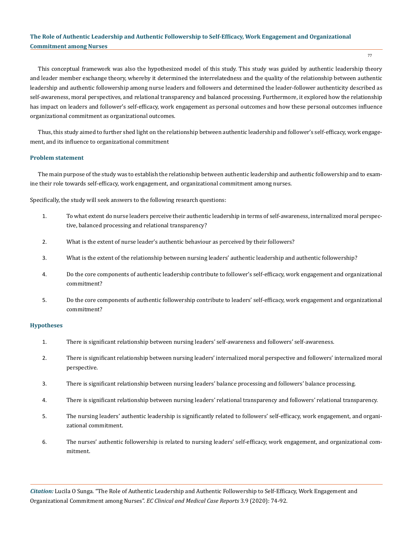77

This conceptual framework was also the hypothesized model of this study. This study was guided by authentic leadership theory and leader member exchange theory, whereby it determined the interrelatedness and the quality of the relationship between authentic leadership and authentic followership among nurse leaders and followers and determined the leader-follower authenticity described as self-awareness, moral perspectives, and relational transparency and balanced processing. Furthermore, it explored how the relationship has impact on leaders and follower's self-efficacy, work engagement as personal outcomes and how these personal outcomes influence organizational commitment as organizational outcomes.

Thus, this study aimed to further shed light on the relationship between authentic leadership and follower's self-efficacy, work engagement, and its influence to organizational commitment

### **Problem statement**

The main purpose of the study was to establish the relationship between authentic leadership and authentic followership and to examine their role towards self-efficacy, work engagement, and organizational commitment among nurses.

Specifically, the study will seek answers to the following research questions:

- 1. To what extent do nurse leaders perceive their authentic leadership in terms of self-awareness, internalized moral perspective, balanced processing and relational transparency?
- 2. What is the extent of nurse leader's authentic behaviour as perceived by their followers?
- 3. What is the extent of the relationship between nursing leaders' authentic leadership and authentic followership?
- 4. Do the core components of authentic leadership contribute to follower's self-efficacy, work engagement and organizational commitment?
- 5. Do the core components of authentic followership contribute to leaders' self-efficacy, work engagement and organizational commitment?

#### **Hypotheses**

- 1. There is significant relationship between nursing leaders' self-awareness and followers' self-awareness.
- 2. There is significant relationship between nursing leaders' internalized moral perspective and followers' internalized moral perspective.
- 3. There is significant relationship between nursing leaders' balance processing and followers' balance processing.
- 4. There is significant relationship between nursing leaders' relational transparency and followers' relational transparency.
- 5. The nursing leaders' authentic leadership is significantly related to followers' self-efficacy, work engagement, and organizational commitment.
- 6. The nurses' authentic followership is related to nursing leaders' self-efficacy, work engagement, and organizational commitment.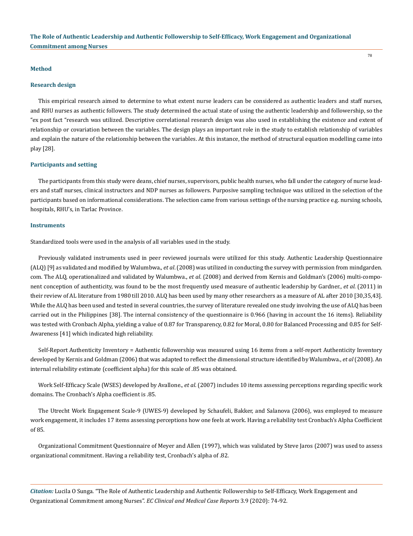#### **Method**

#### **Research design**

This empirical research aimed to determine to what extent nurse leaders can be considered as authentic leaders and staff nurses, and RHU nurses as authentic followers. The study determined the actual state of using the authentic leadership and followership, so the "ex post fact "research was utilized. Descriptive correlational research design was also used in establishing the existence and extent of relationship or covariation between the variables. The design plays an important role in the study to establish relationship of variables and explain the nature of the relationship between the variables. At this instance, the method of structural equation modelling came into play [28].

#### **Participants and setting**

The participants from this study were deans, chief nurses, supervisors, public health nurses, who fall under the category of nurse leaders and staff nurses, clinical instructors and NDP nurses as followers. Purposive sampling technique was utilized in the selection of the participants based on informational considerations. The selection came from various settings of the nursing practice e.g. nursing schools, hospitals, RHU's, in Tarlac Province.

### **Instruments**

Standardized tools were used in the analysis of all variables used in the study.

Previously validated instruments used in peer reviewed journals were utilized for this study. Authentic Leadership Questionnaire (ALQ) [9] as validated and modified by Walumbwa., *et al*. (2008) was utilized in conducting the survey with permission from mindgarden. com. The ALQ, operationalized and validated by Walumbwa., *et al*. (2008) and derived from Kernis and Goldman's (2006) multi-component conception of authenticity, was found to be the most frequently used measure of authentic leadership by Gardner., *et al*. (2011) in their review of AL literature from 1980 till 2010. ALQ has been used by many other researchers as a measure of AL after 2010 [30,35,43]. While the ALQ has been used and tested in several countries, the survey of literature revealed one study involving the use of ALQ has been carried out in the Philippines [38]. The internal consistency of the questionnaire is 0.966 (having in account the 16 items). Reliability was tested with Cronbach Alpha, yielding a value of 0.87 for Transparency, 0.82 for Moral, 0.80 for Balanced Processing and 0.85 for Self-Awareness [41] which indicated high reliability.

Self-Report Authenticity Inventory = Authentic followership was measured using 16 items from a self-report Authenticity Inventory developed by Kernis and Goldman (2006) that was adapted to reflect the dimensional structure identified by Walumbwa., *et al* (2008). An internal reliability estimate (coefficient alpha) for this scale of .85 was obtained.

Work Self-Efficacy Scale (WSES) developed by Avallone., *et al*. (2007) includes 10 items assessing perceptions regarding specific work domains. The Cronbach's Alpha coefficient is .85.

The Utrecht Work Engagement Scale-9 (UWES-9) developed by Schaufeli, Bakker, and Salanova (2006), was employed to measure work engagement, it includes 17 items assessing perceptions how one feels at work. Having a reliability test Cronbach's Alpha Coefficient of 85.

Organizational Commitment Questionnaire of Meyer and Allen (1997), which was validated by Steve Jaros (2007) was used to assess organizational commitment. Having a reliability test, Cronbach's alpha of .82.

*Citation:* Lucila O Sunga. "The Role of Authentic Leadership and Authentic Followership to Self-Efficacy, Work Engagement and Organizational Commitment among Nurses". *EC Clinical and Medical Case Reports* 3.9 (2020): 74-92.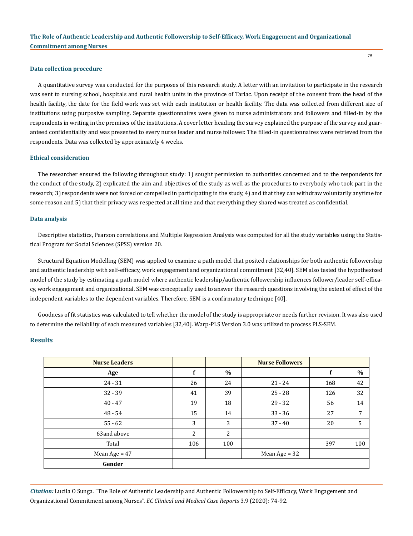#### **Data collection procedure**

A quantitative survey was conducted for the purposes of this research study. A letter with an invitation to participate in the research was sent to nursing school, hospitals and rural health units in the province of Tarlac. Upon receipt of the consent from the head of the health facility, the date for the field work was set with each institution or health facility. The data was collected from different size of institutions using purposive sampling. Separate questionnaires were given to nurse administrators and followers and filled-in by the respondents in writing in the premises of the institutions. A cover letter heading the survey explained the purpose of the survey and guaranteed confidentiality and was presented to every nurse leader and nurse follower. The filled-in questionnaires were retrieved from the respondents. Data was collected by approximately 4 weeks.

### **Ethical consideration**

The researcher ensured the following throughout study: 1) sought permission to authorities concerned and to the respondents for the conduct of the study, 2) explicated the aim and objectives of the study as well as the procedures to everybody who took part in the research; 3) respondents were not forced or compelled in participating in the study, 4) and that they can withdraw voluntarily anytime for some reason and 5) that their privacy was respected at all time and that everything they shared was treated as confidential.

#### **Data analysis**

Descriptive statistics, Pearson correlations and Multiple Regression Analysis was computed for all the study variables using the Statistical Program for Social Sciences (SPSS) version 20.

Structural Equation Modelling (SEM) was applied to examine a path model that posited relationships for both authentic followership and authentic leadership with self-efficacy, work engagement and organizational commitment [32,40]. SEM also tested the hypothesized model of the study by estimating a path model where authentic leadership/authentic followership influences follower/leader self-efficacy, work engagement and organizational. SEM was conceptually used to answer the research questions involving the extent of effect of the independent variables to the dependent variables. Therefore, SEM is a confirmatory technique [40].

Goodness of fit statistics was calculated to tell whether the model of the study is appropriate or needs further revision. It was also used to determine the reliability of each measured variables [32,40]. Warp-PLS Version 3.0 was utilized to process PLS-SEM.

# **Results**

| <b>Nurse Leaders</b> |     |                | <b>Nurse Followers</b> |     |      |
|----------------------|-----|----------------|------------------------|-----|------|
| Age                  | f   | $\%$           |                        | f   | $\%$ |
| $24 - 31$            | 26  | 24             | $21 - 24$              | 168 | 42   |
| $32 - 39$            | 41  | 39             | $25 - 28$              | 126 | 32   |
| $40 - 47$            | 19  | 18             | $29 - 32$              | 56  | 14   |
| $48 - 54$            | 15  | 14             | $33 - 36$              | 27  | 7    |
| $55 - 62$            | 3   | 3              | $37 - 40$              | 20  | 5    |
| 63and above          | 2   | $\overline{2}$ |                        |     |      |
| Total                | 106 | 100            |                        | 397 | 100  |
| Mean Age = $47$      |     |                | Mean Age = $32$        |     |      |
| Gender               |     |                |                        |     |      |

*Citation:* Lucila O Sunga. "The Role of Authentic Leadership and Authentic Followership to Self-Efficacy, Work Engagement and Organizational Commitment among Nurses". *EC Clinical and Medical Case Reports* 3.9 (2020): 74-92.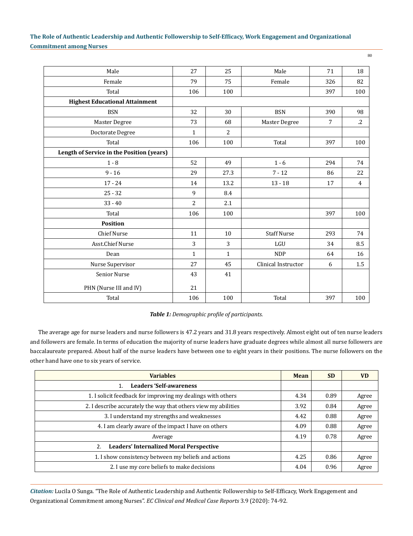| Male                                      | 27             | 25             | Male                | 71  | 18             |
|-------------------------------------------|----------------|----------------|---------------------|-----|----------------|
| Female                                    | 79             | 75             | Female              | 326 | 82             |
| Total                                     | 106            | 100            |                     | 397 | 100            |
| <b>Highest Educational Attainment</b>     |                |                |                     |     |                |
| <b>BSN</b>                                | 32             | 30             | <b>BSN</b>          | 390 | 98             |
| Master Degree                             | 73             | 68             | Master Degree       | 7   | $\cdot$ .2     |
| Doctorate Degree                          | $\mathbf{1}$   | $\overline{2}$ |                     |     |                |
| Total                                     | 106            | 100            | Total               | 397 | 100            |
| Length of Service in the Position (years) |                |                |                     |     |                |
| $1 - 8$                                   | 52             | 49             | $1 - 6$             | 294 | 74             |
| $9 - 16$                                  | 29             | 27.3           | $7 - 12$            | 86  | 22             |
| $17 - 24$                                 | 14             | 13.2           | $13 - 18$           | 17  | $\overline{4}$ |
| $25 - 32$                                 | 9              | 8.4            |                     |     |                |
| $33 - 40$                                 | $\overline{2}$ | 2.1            |                     |     |                |
| Total                                     | 106            | 100            |                     | 397 | 100            |
| <b>Position</b>                           |                |                |                     |     |                |
| <b>Chief Nurse</b>                        | 11             | 10             | <b>Staff Nurse</b>  | 293 | 74             |
| Asst.Chief Nurse                          | 3              | 3              | LGU                 | 34  | 8.5            |
| Dean                                      | $\mathbf{1}$   | $\mathbf{1}$   | <b>NDP</b>          | 64  | 16             |
| Nurse Supervisor                          | 27             | 45             | Clinical Instructor | 6   | 1.5            |
| <b>Senior Nurse</b>                       | 43             | 41             |                     |     |                |
| PHN (Nurse III and IV)                    | 21             |                |                     |     |                |
| Total                                     | 106            | 100            | Total               | 397 | 100            |

### *Table 1: Demographic profile of participants.*

The average age for nurse leaders and nurse followers is 47.2 years and 31.8 years respectively. Almost eight out of ten nurse leaders and followers are female. In terms of education the majority of nurse leaders have graduate degrees while almost all nurse followers are baccalaureate prepared. About half of the nurse leaders have between one to eight years in their positions. The nurse followers on the other hand have one to six years of service.

| <b>Variables</b>                                               | <b>Mean</b> | <b>SD</b> | <b>VD</b> |
|----------------------------------------------------------------|-------------|-----------|-----------|
| <b>Leaders 'Self-awareness</b><br>$\mathbf{1}$ .               |             |           |           |
| 1. I solicit feedback for improving my dealings with others    | 4.34        | 0.89      | Agree     |
| 2. I describe accurately the way that others view my abilities | 3.92        | 0.84      | Agree     |
| 3. I understand my strengths and weaknesses                    | 4.42        | 0.88      | Agree     |
| 4. I am clearly aware of the impact I have on others           | 4.09        | 0.88      | Agree     |
| Average                                                        | 4.19        | 0.78      | Agree     |
| <b>Leaders' Internalized Moral Perspective</b><br>2.           |             |           |           |
| 1. I show consistency between my beliefs and actions           | 4.25        | 0.86      | Agree     |
| 2. I use my core beliefs to make decisions                     | 4.04        | 0.96      | Agree     |

*Citation:* Lucila O Sunga. "The Role of Authentic Leadership and Authentic Followership to Self-Efficacy, Work Engagement and Organizational Commitment among Nurses". *EC Clinical and Medical Case Reports* 3.9 (2020): 74-92.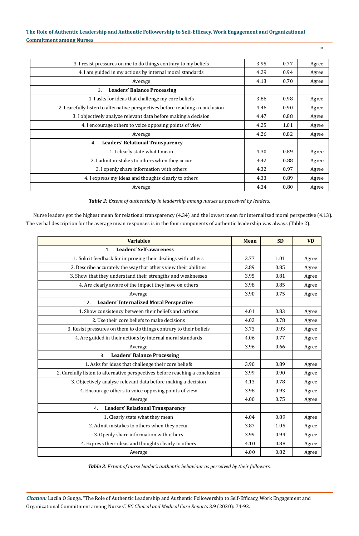| ٦<br>×<br>۰, | ш |
|--------------|---|
|              |   |

| 3. I resist pressures on me to do things contrary to my beliefs                | 3.95 | 0.77 | Agree |
|--------------------------------------------------------------------------------|------|------|-------|
| 4. I am guided in my actions by internal moral standards                       | 4.29 | 0.94 | Agree |
| Average                                                                        | 4.13 | 0.70 | Agree |
| <b>Leaders' Balance Processing</b><br>3.                                       |      |      |       |
| 1. I asks for ideas that challenge my core beliefs                             | 3.86 | 0.98 | Agree |
| 2. I carefully listen to alternative perspectives before reaching a conclusion | 4.46 | 0.90 | Agree |
| 3. I objectively analyze relevant data before making a decision                | 4.47 | 0.88 | Agree |
| 4. I encourage others to voice opposing points of view                         | 4.25 | 1.01 | Agree |
| Average                                                                        | 4.26 | 0.82 | Agree |
| <b>Leaders' Relational Transparency</b><br>4.                                  |      |      |       |
| 1. I clearly state what I mean                                                 | 4.30 | 0.89 | Agree |
| 2. I admit mistakes to others when they occur                                  | 4.42 | 0.88 | Agree |
| 3. I openly share information with others                                      | 4.32 | 0.97 | Agree |
| 4. I express my ideas and thoughts clearly to others                           | 4.33 | 0.89 | Agree |
| Average                                                                        | 4.34 | 0.80 | Agree |

*Table 2: Extent of authenticity in leadership among nurses as perceived by leaders.*

Nurse leaders got the highest mean for relational transparency (4.34) and the lowest mean for internalized moral perspective (4.13). The verbal description for the average mean responses is in the four components of authentic leadership was always (Table 2).

| <b>Variables</b>                                                             | <b>Mean</b> | <b>SD</b> | <b>VD</b> |
|------------------------------------------------------------------------------|-------------|-----------|-----------|
| <b>Leaders' Self-awareness</b><br>1.                                         |             |           |           |
| 1. Solicit feedback for improving their dealings with others                 | 3.77        | 1.01      | Agree     |
| 2. Describe accurately the way that others view their abilities              | 3.89        | 0.85      | Agree     |
| 3. Show that they understand their strengths and weaknesses                  | 3.95        | 0.81      | Agree     |
| 4. Are clearly aware of the impact they have on others                       | 3.98        | 0.85      | Agree     |
| Average                                                                      | 3.90        | 0.75      | Agree     |
| <b>Leaders' Internalized Moral Perspective</b><br>2.                         |             |           |           |
| 1. Show consistency between their beliefs and actions                        | 4.01        | 0.83      | Agree     |
| 2. Use their core beliefs to make decisions                                  | 4.02        | 0.78      | Agree     |
| 3. Resist pressures on them to do things contrary to their beliefs           | 3.73        | 0.93      | Agree     |
| 4. Are guided in their actions by internal moral standards                   | 4.06        | 0.77      | Agree     |
| Average                                                                      | 3.96        | 0.66      | Agree     |
| <b>Leaders' Balance Processing</b><br>3.                                     |             |           |           |
| 1. Asks for ideas that challenge their core beliefs                          | 3.90        | 0.89      | Agree     |
| 2. Carefully listen to alternative perspectives before reaching a conclusion | 3.99        | 0.90      | Agree     |
| 3. Objectively analyse relevant data before making a decision                | 4.13        | 0.78      | Agree     |
| 4. Encourage others to voice opposing points of view                         | 3.98        | 0.93      | Agree     |
| Average                                                                      | 4.00        | 0.75      | Agree     |
| <b>Leaders' Relational Transparency</b><br>4.                                |             |           |           |
| 1. Clearly state what they mean                                              | 4.04        | 0.89      | Agree     |
| 2. Admit mistakes to others when they occur                                  | 3.87        | 1.05      | Agree     |
| 3. Openly share information with others                                      | 3.99        | 0.94      | Agree     |
| 4. Express their ideas and thoughts clearly to others                        | 4.10        | 0.88      | Agree     |
| Average                                                                      | 4.00        | 0.82      | Agree     |

*Table 3: Extent of nurse leader's authentic behaviour as perceived by their followers.*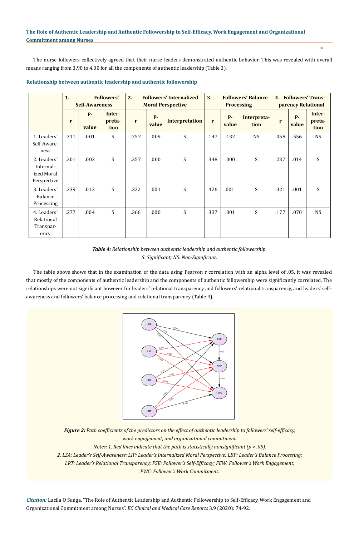The nurse followers collectively agreed that their nurse leaders demonstrated authentic behavior. This was revealed with overall means ranging from 3.90 to 4.00 for all the components of authentic leadership (Table 3).

|                                                       | 1.   | <b>Self-Awareness</b> | <b>Followers'</b>        | 2.<br><b>Followers' Internalized</b><br><b>Moral Perspective</b> |                |                       | 3.<br><b>Followers' Balance</b><br><b>Processing</b> |                    |                     | 4. Followers' Trans-<br>parency Relational |                |                          |
|-------------------------------------------------------|------|-----------------------|--------------------------|------------------------------------------------------------------|----------------|-----------------------|------------------------------------------------------|--------------------|---------------------|--------------------------------------------|----------------|--------------------------|
|                                                       | r    | <b>P-</b><br>value    | Inter-<br>preta-<br>tion | r                                                                | $P -$<br>value | <b>Interpretation</b> | r                                                    | <b>P-</b><br>value | Interpreta-<br>tion | r                                          | $P -$<br>value | Inter-<br>preta-<br>tion |
| 1. Leaders'<br>Self-Aware-<br>ness                    | .311 | .001                  | S                        | .252                                                             | .009           | S                     | .147                                                 | .132               | <b>NS</b>           | .058                                       | .556           | <b>NS</b>                |
| 2. Leaders'<br>Internal-<br>ized Moral<br>Perspective | .301 | .002                  | S                        | .357                                                             | .000           | S                     | .348                                                 | .000               | S                   | .237                                       | .014           | S                        |
| 3. Leaders'<br>Balance<br>Processing                  | .239 | .013                  | S                        | .322                                                             | .001           | S                     | .426                                                 | 001                | S                   | .321                                       | .001           | S.                       |
| 4. Leaders'<br>Relational<br>Transpar-<br>ency        | .277 | .004                  | S                        | .366                                                             | .000           | S                     | .337                                                 | .001               | S                   | .177                                       | .070           | <b>NS</b>                |

#### **Relationship between authentic leadership and authentic followership**

The table above shows that in the examination of the data using Pearson r correlation with an alpha level of .05, it was revealed that mostly of the components of authentic leadership and the components of authentic followership were significantly correlated. The relationships were not significant however for leaders' relational transparency and followers' relational transparency, and leaders' selfawareness and followers' balance processing and relational transparency (Table 4).



*Figure 2: Path coefficients of the predictors on the effect of authentic leadership to followers' self-efficacy, work engagement, and organizational commitment.*

*Notes: 1. Red lines indicate that the path is statistically nonsignificant (p > .05).* 

*2. LSA: Leader's Self-Awareness; LIP: Leader's Internalized Moral Perspective; LBP: Leader's Balance Processing;* 

*LRT: Leader's Relational Transparency; FSE: Follower's Self-Efficacy; FEW: Follower's Work Engagement;* 

*FWC: Follower's Work Commitment.*

*Citation:* Lucila O Sunga. "The Role of Authentic Leadership and Authentic Followership to Self-Efficacy, Work Engagement and Organizational Commitment among Nurses". *EC Clinical and Medical Case Reports* 3.9 (2020): 74-92.

*Table 4: Relationship between authentic leadership and authentic followership. S: Significant; NS: Non-Significant.*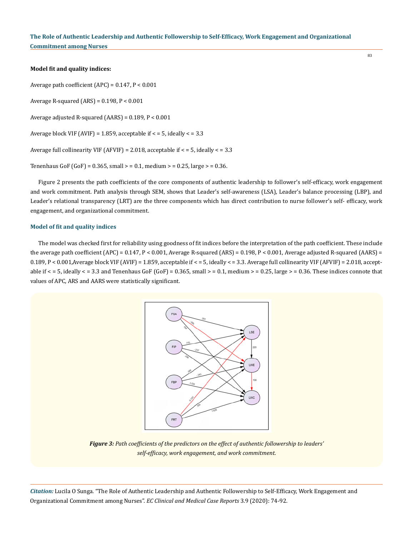#### **Model fit and quality indices:**

Average path coefficient (APC) = 0.147, P < 0.001

Average R-squared  $(ARS) = 0.198$ ,  $P < 0.001$ 

Average adjusted R-squared (AARS) = 0.189, P < 0.001

Average block VIF (AVIF) = 1.859, acceptable if  $\lt$  = 5, ideally  $\lt$  = 3.3

Average full collinearity VIF (AFVIF) = 2.018, acceptable if  $\epsilon$  = 5, ideally  $\epsilon$  = 3.3

Tenenhaus GoF (GoF) =  $0.365$ , small > =  $0.1$ , medium > =  $0.25$ , large > =  $0.36$ .

Figure 2 presents the path coefficients of the core components of authentic leadership to follower's self-efficacy, work engagement and work commitment. Path analysis through SEM, shows that Leader's self-awareness (LSA), Leader's balance processing (LBP), and Leader's relational transparency (LRT) are the three components which has direct contribution to nurse follower's self- efficacy, work engagement, and organizational commitment.

#### **Model of fit and quality indices**

The model was checked first for reliability using goodness of fit indices before the interpretation of the path coefficient. These include the average path coefficient (APC) = 0.147, P < 0.001, Average R-squared (ARS) = 0.198, P < 0.001, Average adjusted R-squared (AARS) = 0.189, P < 0.001,Average block VIF (AVIF) = 1.859, acceptable if < = 5, ideally < = 3.3. Average full collinearity VIF (AFVIF) = 2.018, acceptable if  $\epsilon$  = 5, ideally  $\epsilon$  = 3.3 and Tenenhaus GoF (GoF) = 0.365, small > = 0.1, medium > = 0.25, large > = 0.36. These indices connote that values of APC, ARS and AARS were statistically significant.



*Figure 3: Path coefficients of the predictors on the effect of authentic followership to leaders' self-efficacy, work engagement, and work commitment.*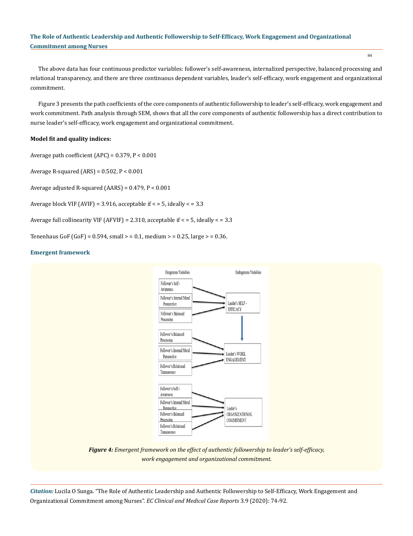84

The above data has four continuous predictor variables: follower's self-awareness, internalized perspective, balanced processing and relational transparency, and there are three continuous dependent variables, leader's self-efficacy, work engagement and organizational commitment.

Figure 3 presents the path coefficients of the core components of authentic followership to leader's self-efficacy, work engagement and work commitment. Path analysis through SEM, shows that all the core components of authentic followership has a direct contribution to nurse leader's self-efficacy, work engagement and organizational commitment.

### **Model fit and quality indices:**

Average path coefficient  $(APC) = 0.379$ ,  $P < 0.001$ 

Average R-squared  $(ARS) = 0.502$ ,  $P < 0.001$ 

Average adjusted R-squared (AARS) = 0.479, P < 0.001

Average block VIF (AVIF) = 3.916, acceptable if  $\lt$  = 5, ideally  $\lt$  = 3.3

Average full collinearity VIF (AFVIF) = 2.310, acceptable if < = 5, ideally < = 3.3

Tenenhaus GoF (GoF) =  $0.594$ , small > =  $0.1$ , medium > =  $0.25$ , large > =  $0.36$ .

#### **Emergent framework**



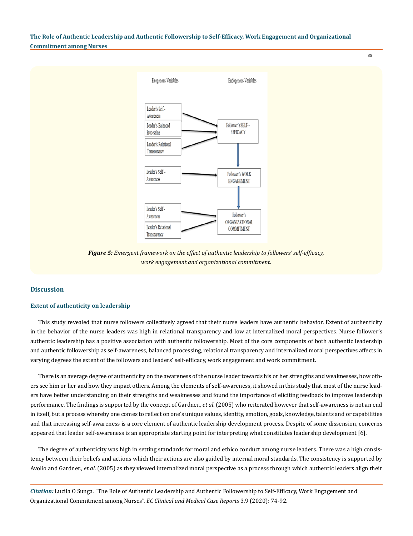85



*Figure 5: Emergent framework on the effect of authentic leadership to followers' self-efficacy, work engagement and organizational commitment.*

#### **Discussion**

#### **Extent of authenticity on leadership**

This study revealed that nurse followers collectively agreed that their nurse leaders have authentic behavior. Extent of authenticity in the behavior of the nurse leaders was high in relational transparency and low at internalized moral perspectives. Nurse follower's authentic leadership has a positive association with authentic followership. Most of the core components of both authentic leadership and authentic followership as self-awareness, balanced processing, relational transparency and internalized moral perspectives affects in varying degrees the extent of the followers and leaders' self-efficacy, work engagement and work commitment.

There is an average degree of authenticity on the awareness of the nurse leader towards his or her strengths and weaknesses, how others see him or her and how they impact others. Among the elements of self-awareness, it showed in this study that most of the nurse leaders have better understanding on their strengths and weaknesses and found the importance of eliciting feedback to improve leadership performance. The findings is supported by the concept of Gardner., *et al*. (2005) who reiterated however that self-awareness is not an end in itself, but a process whereby one comes to reflect on one's unique values, identity, emotion, goals, knowledge, talents and or capabilities and that increasing self-awareness is a core element of authentic leadership development process. Despite of some dissension, concerns appeared that leader self-awareness is an appropriate starting point for interpreting what constitutes leadership development [6].

The degree of authenticity was high in setting standards for moral and ethico conduct among nurse leaders. There was a high consistency between their beliefs and actions which their actions are also guided by internal moral standards. The consistency is supported by Avolio and Gardner., *et al*. (2005) as they viewed internalized moral perspective as a process through which authentic leaders align their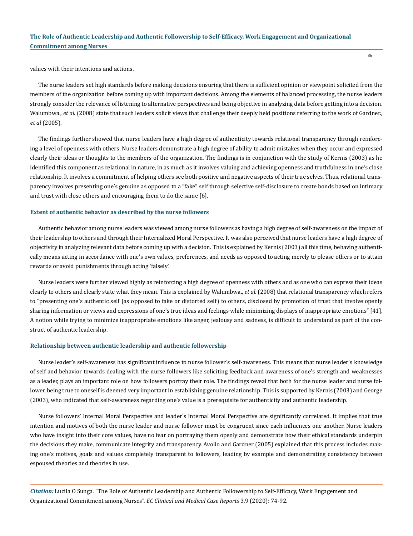values with their intentions and actions.

The nurse leaders set high standards before making decisions ensuring that there is sufficient opinion or viewpoint solicited from the members of the organization before coming up with important decisions. Among the elements of balanced processing, the nurse leaders strongly consider the relevance of listening to alternative perspectives and being objective in analyzing data before getting into a decision. Walumbwa., et al. (2008) state that such leaders solicit views that challenge their deeply held positions referring to the work of Gardner., *et al* (2005).

The findings further showed that nurse leaders have a high degree of authenticity towards relational transparency through reinforcing a level of openness with others. Nurse leaders demonstrate a high degree of ability to admit mistakes when they occur and expressed clearly their ideas or thoughts to the members of the organization. The findings is in conjunction with the study of Kernis (2003) as he identified this component as relational in nature, in as much as it involves valuing and achieving openness and truthfulness in one's close relationship. It involves a commitment of helping others see both positive and negative aspects of their true selves. Thus, relational transparency involves presenting one's genuine as opposed to a "fake" self through selective self-disclosure to create bonds based on intimacy and trust with close others and encouraging them to do the same [6].

#### **Extent of authentic behavior as described by the nurse followers**

Authentic behavior among nurse leaders was viewed among nurse followers as having a high degree of self-awareness on the impact of their leadership to others and through their Internalized Moral Perspective. It was also perceived that nurse leaders have a high degree of objectivity in analyzing relevant data before coming up with a decision. This is explained by Kernis (2003) all this time, behaving authentically means acting in accordance with one's own values, preferences, and needs as opposed to acting merely to please others or to attain rewards or avoid punishments through acting 'falsely'.

Nurse leaders were further viewed highly as reinforcing a high degree of openness with others and as one who can express their ideas clearly to others and clearly state what they mean. This is explained by Walumbwa., *et al*. (2008) that relational transparency which refers to "presenting one's authentic self (as opposed to fake or distorted self) to others, disclosed by promotion of trust that involve openly sharing information or views and expressions of one's true ideas and feelings while minimizing displays of inappropriate emotions" [41]. A notion while trying to minimize inappropriate emotions like anger, jealousy and sadness, is difficult to understand as part of the construct of authentic leadership.

#### **Relationship between authentic leadership and authentic followership**

Nurse leader's self-awareness has significant influence to nurse follower's self-awareness. This means that nurse leader's knowledge of self and behavior towards dealing with the nurse followers like soliciting feedback and awareness of one's strength and weaknesses as a leader, plays an important role on how followers portray their role. The findings reveal that both for the nurse leader and nurse follower, being true to oneself is deemed very important in establishing genuine relationship. This is supported by Kernis (2003) and George (2003), who indicated that self-awareness regarding one's value is a prerequisite for authenticity and authentic leadership.

Nurse followers' Internal Moral Perspective and leader's Internal Moral Perspective are significantly correlated. It implies that true intention and motives of both the nurse leader and nurse follower must be congruent since each influences one another. Nurse leaders who have insight into their core values, have no fear on portraying them openly and demonstrate how their ethical standards underpin the decisions they make, communicate integrity and transparency. Avolio and Gardner (2005) explained that this process includes making one's motives, goals and values completely transparent to followers, leading by example and demonstrating consistency between espoused theories and theories in use.

*Citation:* Lucila O Sunga. "The Role of Authentic Leadership and Authentic Followership to Self-Efficacy, Work Engagement and Organizational Commitment among Nurses". *EC Clinical and Medical Case Reports* 3.9 (2020): 74-92.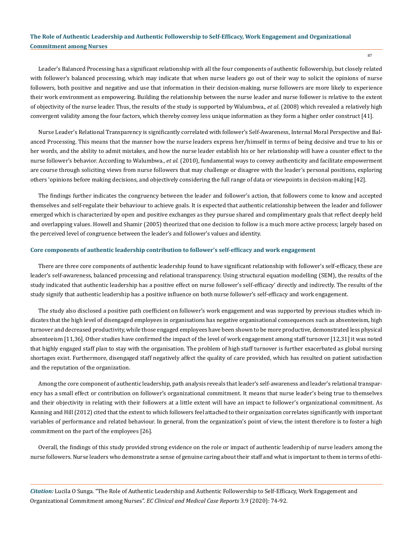87

Leader's Balanced Processing has a significant relationship with all the four components of authentic followership, but closely related with follower's balanced processing, which may indicate that when nurse leaders go out of their way to solicit the opinions of nurse followers, both positive and negative and use that information in their decision-making, nurse followers are more likely to experience their work environment as empowering. Building the relationship between the nurse leader and nurse follower is relative to the extent of objectivity of the nurse leader. Thus, the results of the study is supported by Walumbwa., *et al*. (2008) which revealed a relatively high convergent validity among the four factors, which thereby convey less unique information as they form a higher order construct [41].

Nurse Leader's Relational Transparency is significantly correlated with follower's Self-Awareness, Internal Moral Perspective and Balanced Processing. This means that the manner how the nurse leaders express her/himself in terms of being decisive and true to his or her words, and the ability to admit mistakes, and how the nurse leader establish his or her relationship will have a counter effect to the nurse follower's behavior. According to Walumbwa., *et al*. (2010), fundamental ways to convey authenticity and facilitate empowerment are course through soliciting views from nurse followers that may challenge or disagree with the leader's personal positions, exploring others 'opinions before making decisions, and objectively considering the full range of data or viewpoints in decision-making [42].

The findings further indicates the congruency between the leader and follower's action, that followers come to know and accepted themselves and self-regulate their behaviour to achieve goals. It is expected that authentic relationship between the leader and follower emerged which is characterized by open and positive exchanges as they pursue shared and complimentary goals that reflect deeply held and overlapping values. Howell and Shamir (2005) theorized that one decision to follow is a much more active process; largely based on the perceived level of congruence between the leader's and follower's values and identity.

#### **Core components of authentic leadership contribution to follower's self-efficacy and work engagement**

There are three core components of authentic leadership found to have significant relationship with follower's self-efficacy, these are leader's self-awareness, balanced processing and relational transparency. Using structural equation modelling (SEM), the results of the study indicated that authentic leadership has a positive effect on nurse follower's self-efficacy' directly and indirectly. The results of the study signify that authentic leadership has a positive influence on both nurse follower's self-efficacy and work engagement.

The study also disclosed a positive path coefficient on follower's work engagement and was supported by previous studies which indicates that the high level of disengaged employees in organisations has negative organisational consequences such as absenteeism, high turnover and decreased productivity, while those engaged employees have been shown to be more productive, demonstrated less physical absenteeism [11,36]. Other studies have confirmed the impact of the level of work engagement among staff turnover [12,31] it was noted that highly engaged staff plan to stay with the organisation. The problem of high staff turnover is further exacerbated as global nursing shortages exist. Furthermore, disengaged staff negatively affect the quality of care provided, which has resulted on patient satisfaction and the reputation of the organization.

Among the core component of authentic leadership, path analysis reveals that leader's self-awareness and leader's relational transparency has a small effect or contribution on follower's organizational commitment. It means that nurse leader's being true to themselves and their objectivity in relating with their followers at a little extent will have an impact to follower's organizational commitment. As Kanning and Hill (2012) cited that the extent to which followers feel attached to their organization correlates significantly with important variables of performance and related behaviour. In general, from the organization's point of view, the intent therefore is to foster a high commitment on the part of the employees [26].

Overall, the findings of this study provided strong evidence on the role or impact of authentic leadership of nurse leaders among the nurse followers. Nurse leaders who demonstrate a sense of genuine caring about their staff and what is important to them in terms of ethi-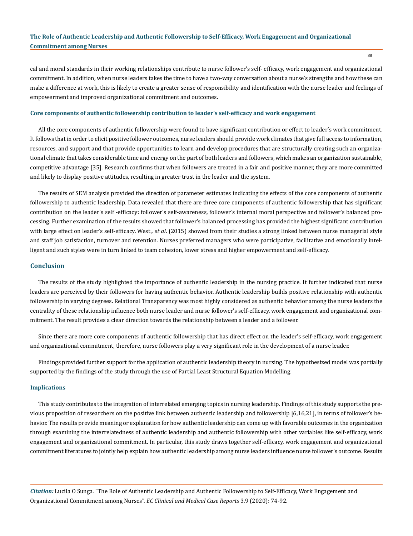cal and moral standards in their working relationships contribute to nurse follower's self- efficacy, work engagement and organizational commitment. In addition, when nurse leaders takes the time to have a two-way conversation about a nurse's strengths and how these can make a difference at work, this is likely to create a greater sense of responsibility and identification with the nurse leader and feelings of empowerment and improved organizational commitment and outcomes.

#### **Core components of authentic followership contribution to leader's self-efficacy and work engagement**

All the core components of authentic followership were found to have significant contribution or effect to leader's work commitment. It follows that in order to elicit positive follower outcomes, nurse leaders should provide work climates that give full access to information, resources, and support and that provide opportunities to learn and develop procedures that are structurally creating such an organizational climate that takes considerable time and energy on the part of both leaders and followers, which makes an organization sustainable, competitive advantage [35]. Research confirms that when followers are treated in a fair and positive manner, they are more committed and likely to display positive attitudes, resulting in greater trust in the leader and the system.

The results of SEM analysis provided the direction of parameter estimates indicating the effects of the core components of authentic followership to authentic leadership. Data revealed that there are three core components of authentic followership that has significant contribution on the leader's self -efficacy: follower's self-awareness, follower's internal moral perspective and follower's balanced processing. Further examination of the results showed that follower's balanced processing has provided the highest significant contribution with large effect on leader's self-efficacy. West., *et al*. (2015) showed from their studies a strong linked between nurse managerial style and staff job satisfaction, turnover and retention. Nurses preferred managers who were participative, facilitative and emotionally intelligent and such styles were in turn linked to team cohesion, lower stress and higher empowerment and self-efficacy.

#### **Conclusion**

The results of the study highlighted the importance of authentic leadership in the nursing practice. It further indicated that nurse leaders are perceived by their followers for having authentic behavior. Authentic leadership builds positive relationship with authentic followership in varying degrees. Relational Transparency was most highly considered as authentic behavior among the nurse leaders the centrality of these relationship influence both nurse leader and nurse follower's self-efficacy, work engagement and organizational commitment. The result provides a clear direction towards the relationship between a leader and a follower.

Since there are more core components of authentic followership that has direct effect on the leader's self-efficacy, work engagement and organizational commitment, therefore, nurse followers play a very significant role in the development of a nurse leader.

Findings provided further support for the application of authentic leadership theory in nursing. The hypothesized model was partially supported by the findings of the study through the use of Partial Least Structural Equation Modelling.

#### **Implications**

This study contributes to the integration of interrelated emerging topics in nursing leadership. Findings of this study supports the previous proposition of researchers on the positive link between authentic leadership and followership [6,16,21], in terms of follower's behavior. The results provide meaning or explanation for how authentic leadership can come up with favorable outcomes in the organization through examining the interrelatedness of authentic leadership and authentic followership with other variables like self-efficacy, work engagement and organizational commitment. In particular, this study draws together self-efficacy, work engagement and organizational commitment literatures to jointly help explain how authentic leadership among nurse leaders influence nurse follower's outcome. Results

*Citation:* Lucila O Sunga. "The Role of Authentic Leadership and Authentic Followership to Self-Efficacy, Work Engagement and Organizational Commitment among Nurses". *EC Clinical and Medical Case Reports* 3.9 (2020): 74-92.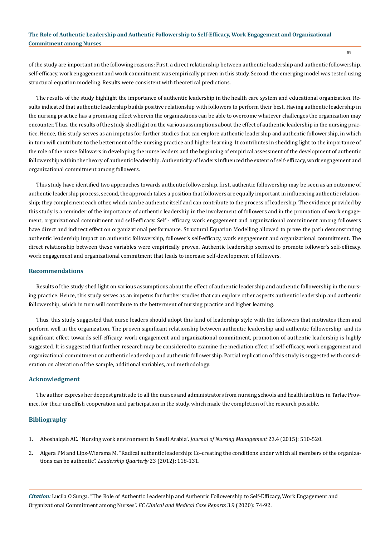of the study are important on the following reasons: First, a direct relationship between authentic leadership and authentic followership, self-efficacy, work engagement and work commitment was empirically proven in this study. Second, the emerging model was tested using structural equation modeling. Results were consistent with theoretical predictions.

The results of the study highlight the importance of authentic leadership in the health care system and educational organization. Results indicated that authentic leadership builds positive relationship with followers to perform their best. Having authentic leadership in the nursing practice has a promising effect wherein the organizations can be able to overcome whatever challenges the organization may encounter. Thus, the results of the study shed light on the various assumptions about the effect of authentic leadership in the nursing practice. Hence, this study serves as an impetus for further studies that can explore authentic leadership and authentic followership, in which in turn will contribute to the betterment of the nursing practice and higher learning. It contributes in shedding light to the importance of the role of the nurse followers in developing the nurse leaders and the beginning of empirical assessment of the development of authentic followership within the theory of authentic leadership. Authenticity of leaders influenced the extent of self-efficacy, work engagement and organizational commitment among followers.

This study have identified two approaches towards authentic followership, first, authentic followership may be seen as an outcome of authentic leadership process, second, the approach takes a position that followers are equally important in influencing authentic relationship; they complement each other, which can be authentic itself and can contribute to the process of leadership. The evidence provided by this study is a reminder of the importance of authentic leadership in the involvement of followers and in the promotion of work engagement, organizational commitment and self-efficacy. Self - efficacy, work engagement and organizational commitment among followers have direct and indirect effect on organizational performance. Structural Equation Modelling allowed to prove the path demonstrating authentic leadership impact on authentic followership, follower's self-efficacy, work engagement and organizational commitment. The direct relationship between these variables were empirically proven. Authentic leadership seemed to promote follower's self-efficacy, work engagement and organizational commitment that leads to increase self-development of followers.

#### **Recommendations**

Results of the study shed light on various assumptions about the effect of authentic leadership and authentic followership in the nursing practice. Hence, this study serves as an impetus for further studies that can explore other aspects authentic leadership and authentic followership, which in turn will contribute to the betterment of nursing practice and higher learning.

Thus, this study suggested that nurse leaders should adopt this kind of leadership style with the followers that motivates them and perform well in the organization. The proven significant relationship between authentic leadership and authentic followership, and its significant effect towards self-efficacy, work engagement and organizational commitment, promotion of authentic leadership is highly suggested. It is suggested that further research may be considered to examine the mediation effect of self-efficacy, work engagement and organizational commitment on authentic leadership and authentic followership. Partial replication of this study is suggested with consideration on alteration of the sample, additional variables, and methodology.

### **Acknowledgment**

The author express her deepest gratitude to all the nurses and administrators from nursing schools and health facilities in Tarlac Province, for their unselfish cooperation and participation in the study, which made the completion of the research possible.

### **Bibliography**

- 1. Aboshaiqah AE. "Nursing work environment in Saudi Arabia". *Journal of Nursing Management* 23.4 (2015): 510-520.
- 2. [Algera PM and Lips-Wiersma M. "Radical authentic leadership: Co-creating the conditions under which all members of the organiza](https://www.sciencedirect.com/science/article/pii/S1048984311001731)[tions can be authentic".](https://www.sciencedirect.com/science/article/pii/S1048984311001731) *Leadership Quarterly* 23 (2012): 118-131.

*Citation:* Lucila O Sunga. "The Role of Authentic Leadership and Authentic Followership to Self-Efficacy, Work Engagement and Organizational Commitment among Nurses". *EC Clinical and Medical Case Reports* 3.9 (2020): 74-92.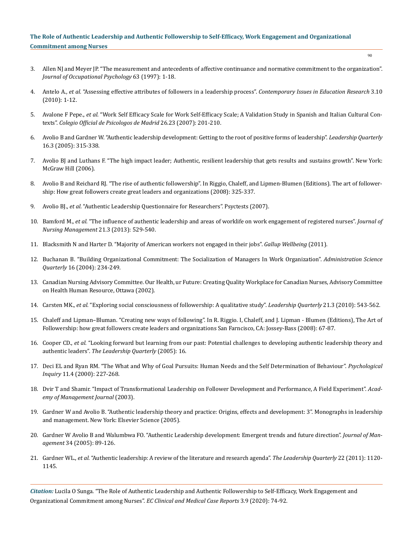- 90
- 3. [Allen NJ and Meyer JP. "The measurement and antecedents of affective continuance and normative commitment to the organization".](https://onlinelibrary.wiley.com/doi/10.1111/j.2044-8325.1990.tb00506.x)  *[Journal of Occupational Psychology](https://onlinelibrary.wiley.com/doi/10.1111/j.2044-8325.1990.tb00506.x)* 63 (1997): 1-18.
- 4. Antelo A., *et al.* ["Assessing effective attributes of followers in a leadership process".](https://www.researchgate.net/publication/298332086_Assessing_Effective_Attributes_Of_Followers_In_A_Leadership_Process) *Contemporary Issues in Education Research* 3.10 [\(2010\): 1-12.](https://www.researchgate.net/publication/298332086_Assessing_Effective_Attributes_Of_Followers_In_A_Leadership_Process)
- 5. Avalone F Pepe., *et al.* ["Work Self Efficacy Scale for Work Self-Efficacy Scale; A Validation Study in Spanish and Italian Cultural Con](https://www.redalyc.org/pdf/2313/231316502004.pdf)texts". *[Colegio Official de Psicologos de Madrid](https://www.redalyc.org/pdf/2313/231316502004.pdf)* 26.23 (2007): 201-210.
- 6. [Avolio B and Gardner W. "Authentic leadership development: Getting to the root of positive forms of leadership".](https://www.sciencedirect.com/science/article/pii/S1048984305000263) *Leadership Quarterly* [16.3 \(2005\): 315-338.](https://www.sciencedirect.com/science/article/pii/S1048984305000263)
- 7. [Avolio BJ and Luthans F. "The high impact leader; Authentic, resilient leadership that gets results and sustains growth". New York:](https://www.worldcat.org/title/high-impact-leader-authentic-resilient-leadership-that-gets-results-and-sustains-growth/oclc/753161630)  [McGraw Hill \(2006\).](https://www.worldcat.org/title/high-impact-leader-authentic-resilient-leadership-that-gets-results-and-sustains-growth/oclc/753161630)
- 8. [Avolio B and Reichard RJ. "The rise of authentic followership". In Riggio, Chaleff, and Lipmen-Blumen \(Editions\). The art of follower](https://psycnet.apa.org/record/2008-01030-023)[ship: How great followers create great leaders and organizations \(2008\): 325-337.](https://psycnet.apa.org/record/2008-01030-023)
- 9. Avolio BJ., *et al.* ["Authentic Leadership Questionnaire for Researchers". Psyctests \(2007\).](https://prc.springeropen.com/articles/10.1186/s41155-016-0046-4)
- 10. Bamford M., *et al.* ["The influence of authentic leadership and areas of worklife on work engagement of registered nurses".](https://pubmed.ncbi.nlm.nih.gov/23406200/) *Journal of [Nursing Management](https://pubmed.ncbi.nlm.nih.gov/23406200/)* 21.3 (2013): 529-540.
- 11. [Blacksmith N and Harter D. "Majority of American workers not engaged in their jobs".](https://news.gallup.com/poll/150383/majority-american-workers-not-engaged-jobs.aspx) *Gallup Wellbeing* (2011).
- 12. [Buchanan B. "Building Organizational Commitment: The Socialization of Managers In Work Organization".](https://repositories.lib.utexas.edu/bitstream/handle/2152/29309/BuildingOrganizationalCommitment.pdf?sequence=1) *Administration Science Quarterly* [16 \(2004\): 234-249.](https://repositories.lib.utexas.edu/bitstream/handle/2152/29309/BuildingOrganizationalCommitment.pdf?sequence=1)
- 13. [Canadian Nursing Advisory Committee. Our Health, ur Future: Creating Quality Workplace for Canadian Nurses, Advisory Committee](https://www.canada.ca/en/health-canada/services/health-care-system/reports-publications/nursing/health-future-creating-quality-workplaces-canadian-nurses-final-report-canadian-nursing.html) [on Health Human Resource, Ottawa \(2002\).](https://www.canada.ca/en/health-canada/services/health-care-system/reports-publications/nursing/health-future-creating-quality-workplaces-canadian-nurses-final-report-canadian-nursing.html)
- 14. Carsten MK., *et al.* ["Exploring social consciousness of followership: A qualitative study".](https://www.researchgate.net/publication/222534921_Exploring_social_constructions_of_followership_A_qualitative_study) *Leadership Quarterly* 21.3 (2010): 543-562.
- 15. Chaleff and Lipman–Bluman. "Creating new ways of following". In R. Riggio. I, Chaleff, and J. Lipman Blumen (Editions), The Art of Followership: how great followers create leaders and organizations San Farncisco, CA: Jossey-Bass (2008): 67-87.
- 16. Cooper CD., *et al.* ["Looking forward but learning from our past: Potential challenges to developing authentic leadership theory and](https://www.sciencedirect.com/science/article/pii/S1048984305000330)  authentic leaders". *[The Leadership Quarterly](https://www.sciencedirect.com/science/article/pii/S1048984305000330)* (2005): 16.
- 17. [Deci EL and Ryan RM. "The What and Why of Goal Pursuits: Human Needs and the Self Determination of Behaviour".](https://www.tandfonline.com/doi/abs/10.1207/S15327965PLI1104_01) *Psychological Inquiry* [11.4 \(2000\): 227-268.](https://www.tandfonline.com/doi/abs/10.1207/S15327965PLI1104_01)
- 18. [Dvir T and Shamir. "Impact of Transformational Leadership on Follower Development and Performance, A Field Experiment".](https://www.jstor.org/stable/3069307?seq=1) *Acad[emy of Management Journal](https://www.jstor.org/stable/3069307?seq=1)* (2003).
- 19. Gardner W and Avolio B. "Authentic leadership theory and practice: Origins, effects and development: 3". Monographs in leadership and management. New York: Elsevier Science (2005).
- 20. [Gardner W Avolio B and Walumbwa FO. "Authentic Leadership development: Emergent trends and future direction".](https://www.econbiz.de/Record/authentic-leadership-development-emergent-themes-and-future-directions-gardner-william/10003193214) *Journal of Management* [34 \(2005\): 89-126.](https://www.econbiz.de/Record/authentic-leadership-development-emergent-themes-and-future-directions-gardner-william/10003193214)
- 21. Gardner WL., *et al.* ["Authentic leadership: A review of the literature and research agenda".](https://www.sciencedirect.com/science/article/pii/S1048984311001548) *The Leadership Quarterly* 22 (2011): 1120- [1145.](https://www.sciencedirect.com/science/article/pii/S1048984311001548)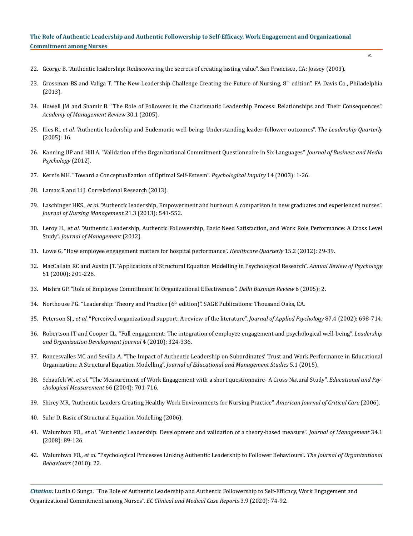- 22. [George B. "Authentic leadership: Rediscovering the secrets of creating lasting value". San Francisco, CA: Jossey \(2003\).](https://www.wiley.com/en-in/Authentic+Leadership%3A+Rediscovering+the+Secrets+to+Creating+Lasting+Value-p-9780787969134)
- 23. Grossman BS and Valiga T. "The New Leadership Challenge Creating the Future of Nursing, 8<sup>th</sup> edition". FA Davis Co., Philadelphia (2013).
- 24. [Howell JM and Shamir B. "The Role of Followers in the Charismatic Leadership Process: Relationships and Their Consequences".](https://www.jstor.org/stable/20159097)  *[Academy of Management Review](https://www.jstor.org/stable/20159097)* 30.1 (2005).
- 25. Ilies R., *et al.* ["Authentic leadership and Eudemonic well-being: Understanding leader-follower outcomes".](http://citeseerx.ist.psu.edu/viewdoc/download?doi=10.1.1.90.2819&rep=rep1&type=pdf) *The Leadership Quarterly* [\(2005\): 16.](http://citeseerx.ist.psu.edu/viewdoc/download?doi=10.1.1.90.2819&rep=rep1&type=pdf)
- 26. [Kanning UP and Hill A. "Validation of the Organizational Commitment Questionnaire in Six Languages".](https://www.semanticscholar.org/paper/Validation-of-the-Organizational-Commitment-(OCQ)-Kanning-Hill/b0ac2c3fb733225ed240801305311feeaf0b2553) *Journal of Business and Media [Psychology](https://www.semanticscholar.org/paper/Validation-of-the-Organizational-Commitment-(OCQ)-Kanning-Hill/b0ac2c3fb733225ed240801305311feeaf0b2553)* (2012).
- 27. [Kernis MH. "Toward a Conceptualization of Optimal Self-Esteem".](https://psycnet.apa.org/record/2003-99686-001) *Psychological Inquiry* 14 (2003): 1-26.
- 28. Lamax R and Li J. Correlational Research (2013).
- 29. Laschinger HKS., *et al.* ["Authentic leadership, Empowerment and burnout: A comparison in new graduates and experienced nurses".](https://pubmed.ncbi.nlm.nih.gov/23405976/)  *[Journal of Nursing Management](https://pubmed.ncbi.nlm.nih.gov/23405976/)* 21.3 (2013): 541-552.
- 30. Leroy H., *et al.* ["Authentic Leadership, Authentic Followership, Basic Need Satisfaction, and Work Role Performance: A Cross Level](https://www.researchgate.net/publication/275441498_Authentic_Leadership_Authentic_Followership_Basic_Need_Satisfaction_and_Work_Role_Performance_A_Cross-Level_Study)  Study". *[Journal of Management](https://www.researchgate.net/publication/275441498_Authentic_Leadership_Authentic_Followership_Basic_Need_Satisfaction_and_Work_Role_Performance_A_Cross-Level_Study)* (2012).
- 31. [Lowe G. "How employee engagement matters for hospital performance".](https://pubmed.ncbi.nlm.nih.gov/22688203/) *Healthcare Quarterly* 15.2 (2012): 29-39.
- 32. [MacCallain RC and Austin JT. "Applications of Structural Equation Modelling in Psychological Research".](https://www.annualreviews.org/doi/abs/10.1146/annurev.psych.51.1.201?journalCode=psych) *Annual Review of Psychology* [51 \(2000\): 201-226.](https://www.annualreviews.org/doi/abs/10.1146/annurev.psych.51.1.201?journalCode=psych)
- 33. [Mishra GP. "Role of Employee Commitment In Organizational Effectiveness".](https://pdfs.semanticscholar.org/24ed/00303a6a28960cec845ed4909405c3517dba.pdf) *Delhi Business Review* 6 (2005): 2.
- 34. Northouse PG. "Leadership: Theory and Practice (6th edition)". SAGE Publications: Thousand Oaks, CA.
- 35. Peterson SJ., *et al.* ["Perceived organizational support: A review of the literature".](https://psycnet.apa.org/record/2002-15406-008) *Journal of Applied Psychology* 87.4 (2002): 698-714.
- 36. [Robertson IT and Cooper CL. "Full engagement: The integration of employee engagement and psychological well-being".](https://www.researchgate.net/publication/247626892_Full_Engagement_the_Integration_of_Employee_Engagement_and_Psychological_Well-Being) *Leadership [and Organization Development Journal](https://www.researchgate.net/publication/247626892_Full_Engagement_the_Integration_of_Employee_Engagement_and_Psychological_Well-Being)* 4 (2010): 324-336.
- 37. [Roncesvalles MC and Sevilla A. "The Impact of Authentic Leadership on Subordinates' Trust and Work Performance in Educational](https://www.semanticscholar.org/paper/The-Impact-of-Authentic-Leadership-on-Subordinates%27-Roncesvalles-Sevilla/12754fed0114a6d33dd7443c662b702778ccb173)  Organization: A Structural Equation Modelling". *[Journal of Educational and Management Studies](https://www.semanticscholar.org/paper/The-Impact-of-Authentic-Leadership-on-Subordinates%27-Roncesvalles-Sevilla/12754fed0114a6d33dd7443c662b702778ccb173)* 5.1 (2015).
- 38. Schaufeli W., *et al.* ["The Measurement of Work Engagement with a short questionnaire- A Cross Natural Study".](https://www.wilmarschaufeli.nl/publications/Schaufeli/251.pdf) *Educational and Psy[chological Measurement](https://www.wilmarschaufeli.nl/publications/Schaufeli/251.pdf)* 66 (2004): 701-716.
- 39. [Shirey MR. "Authentic Leaders Creating Healthy Work Environments for Nursing Practice".](https://pubmed.ncbi.nlm.nih.gov/16632768/) *American Journal of Critical Care* (2006).
- 40. Suhr D. Basic of Structural Equation Modelling (2006).
- 41. Walumbwa FO., *et al.* ["Authentic Leadership: Development and validation of a theory-based measure".](https://www.researchgate.net/publication/228352991_Authentic_Leadership_Development_and_Validation_of_a_Theory-Based_Measure) *Journal of Management* 34.1 [\(2008\): 89-126.](https://www.researchgate.net/publication/228352991_Authentic_Leadership_Development_and_Validation_of_a_Theory-Based_Measure)
- 42. Walumbwa FO., *et al.* ["Psychological Processes Linking Authentic Leadership to Follower Behaviours".](https://psycnet.apa.org/record/2010-22229-014) *The Journal of Organizational [Behaviours](https://psycnet.apa.org/record/2010-22229-014)* (2010): 22.